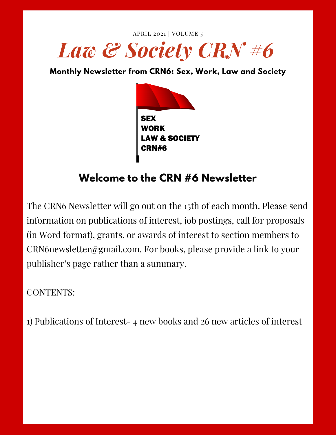



# **Welcome to the CRN #6 Newsletter**

The CRN6 Newsletter will go out on the 15th of each month. Please send information on publications of interest, job postings, call for proposals (in Word format), grants, or awards of interest to section members to CRN6newsletter@gmail.com. For books, please provide a link to your publisher's page rather than a summary.

CONTENTS:

1) Publications of Interest- 4 new books and 26 new articles of interest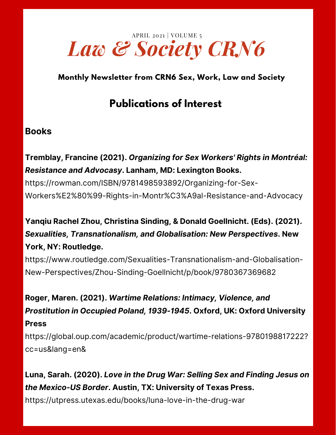

# **Publications of Interest**

#### **Books**

#### **Tremblay, Francine (2021).** *Organizing for Sex Workers' Rights in Montréal: Resistance and Advocasy***. Lanham, MD: Lexington Books.**

https://rowman.com/ISBN/9781498593892/Organizing-for-Sex-[Workers%E2%80%99-Rights-in-Montr%C3%A9al-Resistance-and-Advocacy](https://rowman.com/ISBN/9781498593892/Organizing-for-Sex-Workers%E2%80%99-Rights-in-Montr%C3%A9al-Resistance-and-Advocacy)

## **Yanqiu Rachel Zhou, Christina Sinding, & Donald Goellnicht. (Eds). (2021).** *Sexualities, Transnationalism, and Globalisation: New Perspectives***. New York, NY: Routledge.**

[https://www.routledge.com/Sexualities-Transnationalism-and-Globalisation-](https://www.routledge.com/Sexualities-Transnationalism-and-Globalisation-New-Perspectives/Zhou-Sinding-Goellnicht/p/book/9780367369682)New-Perspectives/Zhou-Sinding-Goellnicht/p/book/9780367369682

**Roger, Maren. (2021).** *Wartime Relations: Intimacy, Violence, and Prostitution in Occupied Poland, 1939-1945***. Oxford, UK: Oxford University Press**

[https://global.oup.com/academic/product/wartime-relations-9780198817222?](https://global.oup.com/academic/product/wartime-relations-9780198817222?cc=us&lang=en&) cc=us&lang=en&

**Luna, Sarah. (2020).** *Love in the Drug War: Selling Sex and Finding Jesus on the Mexico-US Border***. Austin, TX: University of Texas Press.**

<https://utpress.utexas.edu/books/luna-love-in-the-drug-war>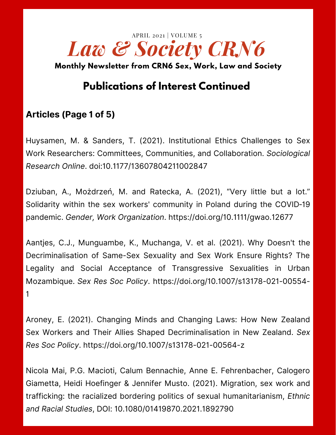

# **Publications of Interest Continued**

#### **Articles (Page 1 of 5)**

Huysamen, M. & Sanders, T. (2021). Institutional Ethics Challenges to Sex Work Researchers: Committees, Communities, and Collaboration. *Sociological Research Online*. doi:[10.1177/13607804211002847](https://doi.org/10.1177/13607804211002847)

Dziuban, A., Możdrzeń, M. and Ratecka, A. (2021), "Very little but a lot." Solidarity within the sex workers' community in Poland during the COVID‐19 pandemic. *Gender, Work Organization*. <https://doi.org/10.1111/gwao.12677>

Aantjes, C.J., Munguambe, K., Muchanga, V. et al. (2021). Why Doesn't the Decriminalisation of Same-Sex Sexuality and Sex Work Ensure Rights? The Legality and Social Acceptance of Transgressive Sexualities in Urban Mozambique. *Sex Res Soc Policy*. [https://doi.org/10.1007/s13178-021-00554-](https://doi.org/10.1007/s13178-021-00554-1) 1

Aroney, E. (2021). Changing Minds and Changing Laws: How New Zealand Sex Workers and Their Allies Shaped Decriminalisation in New Zealand. *Sex Res Soc Policy*. <https://doi.org/10.1007/s13178-021-00564-z>

Nicola Mai, P.G. Macioti, Calum Bennachie, Anne E. Fehrenbacher, Calogero Giametta, Heidi Hoefinger & Jennifer Musto. (2021). Migration, sex work and trafficking: the racialized bordering politics of sexual humanitarianism, *Ethnic and Racial Studies*, DOI: [10.1080/01419870.2021.1892790](https://doi.org/10.1080/01419870.2021.1892790)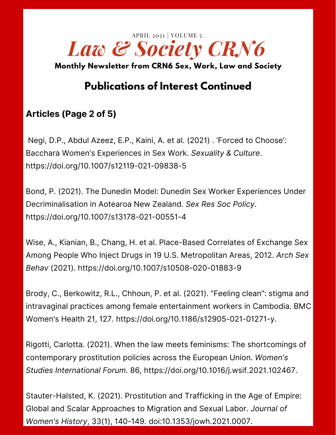

# **Publications of Interest Continued**

### **Articles (Page 2 of 5)**

Negi, D.P., Abdul Azeez, E.P., Kaini, A. et al. (2021) . 'Forced to Choose': Bacchara Women's Experiences in Sex Work. *Sexuality & Culture*. <https://doi.org/10.1007/s12119-021-09838-5>

Bond, P. (2021). The Dunedin Model: Dunedin Sex Worker Experiences Under Decriminalisation in Aotearoa New Zealand. *Sex Res Soc Policy*. <https://doi.org/10.1007/s13178-021-00551-4>

Wise, A., Kianian, B., Chang, H. et al. Place-Based Correlates of Exchange Sex Among People Who Inject Drugs in 19 U.S. Metropolitan Areas, 2012. *Arch Sex Behav* (2021). <https://doi.org/10.1007/s10508-020-01883-9>

Brody, C., Berkowitz, R.L., Chhoun, P. et al. (2021). "Feeling clean": stigma and intravaginal practices among female entertainment workers in Cambodia. BMC Women's Health 21, 127. [https://doi.org/10.1186/s12905-021-01271-y.](https://doi.org/10.1186/s12905-021-01271-y)

Rigotti, Carlotta. (2021). When the law meets feminisms: The shortcomings of contemporary prostitution policies across the European Union. *Women's Studies International Forum*. 86, https://doi.org/10.1016/j.wsif.2021.102467.

Stauter-Halsted, K. (2021). Prostitution and Trafficking in the Age of Empire: Global and Scalar Approaches to Migration and Sexual Labor. *Journal of Women's History*, 33(1), 140-149. doi:10.1353/jowh.2021.0007.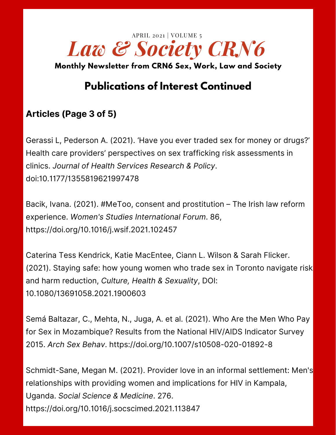

# **Publications of Interest Continued**

### **Articles (Page 3 of 5)**

Gerassi L, Pederson A. (2021). 'Have you ever traded sex for money or drugs?' Health care providers' perspectives on sex trafficking risk assessments in clinics. *Journal of Health Services Research & Policy*. doi[:10.1177/1355819621997478](https://doi.org/10.1177/1355819621997478)

Bacik, Ivana. (2021). #MeToo, consent and prostitution – The Irish law reform experience. *Women's Studies International Forum*. 86, <https://doi.org/10.1016/j.wsif.2021.102457>

Caterina Tess Kendrick, Katie MacEntee, Ciann L. Wilson & Sarah Flicker. (2021). Staying safe: how young women who trade sex in Toronto navigate risk and harm reduction, *Culture, Health & Sexuality*, DOI: [10.1080/13691058.2021.1900603](https://doi.org/10.1080/13691058.2021.1900603)

Semá Baltazar, C., Mehta, N., Juga, A. et al. (2021). Who Are the Men Who Pay for Sex in Mozambique? Results from the National HIV/AIDS Indicator Survey 2015. *Arch Sex Behav*. <https://doi.org/10.1007/s10508-020-01892-8>

Schmidt-Sane, Megan M. (2021). Provider love in an informal settlement: Men's relationships with providing women and implications for HIV in Kampala, Uganda. *Social Science & Medicine*. 276. <https://doi.org/10.1016/j.socscimed.2021.113847>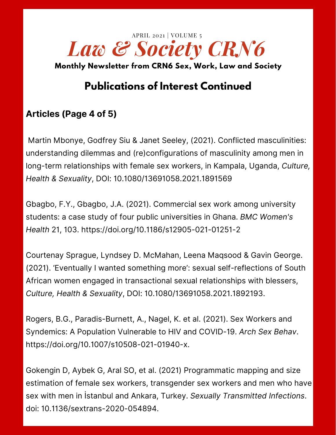

# **Publications of Interest Continued**

### **Articles (Page 4 of 5)**

Martin Mbonye, Godfrey Siu & Janet Seeley, (2021). Conflicted masculinities: understanding dilemmas and (re)configurations of masculinity among men in long-term relationships with female sex workers, in Kampala, Uganda, *Culture, Health & Sexuality*, DOI: 10.1080/13691058.2021.1891569

Gbagbo, F.Y., Gbagbo, J.A. (2021). Commercial sex work among university students: a case study of four public universities in Ghana. *BMC Women's Health* 21, 103. <https://doi.org/10.1186/s12905-021-01251-2>

Courtenay Sprague, Lyndsey D. McMahan, Leena Maqsood & Gavin George. (2021). 'Eventually I wanted something more': sexual self-reflections of South African women engaged in transactional sexual relationships with blessers, *Culture, Health & Sexuality*, DOI: 10.1080/13691058.2021.1892193.

Rogers, B.G., Paradis-Burnett, A., Nagel, K. et al. (2021). Sex Workers and Syndemics: A Population Vulnerable to HIV and COVID-19. *Arch Sex Behav*. [https://doi.org/10.1007/s10508-021-01940-x.](https://doi.org/10.1007/s10508-021-01940-x)

Gokengin D, Aybek G, Aral SO, et al. (2021) Programmatic mapping and size estimation of female sex workers, transgender sex workers and men who have sex with men in İstanbul and Ankara, Turkey. *Sexually Transmitted Infections*. doi: 10.1136/sextrans-2020-054894.